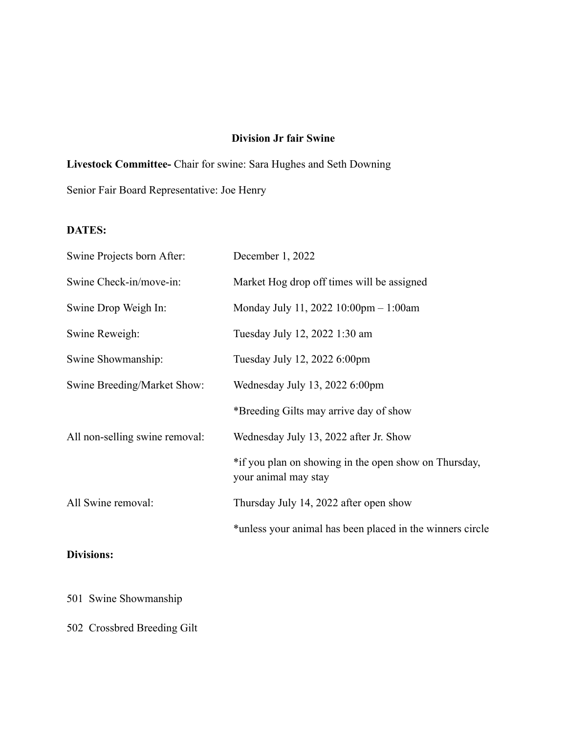## **Division Jr fair Swine**

**Livestock Committee-** Chair for swine: Sara Hughes and Seth Downing

Senior Fair Board Representative: Joe Henry

## **DATES:**

| Swine Projects born After:     | December 1, 2022                                                              |
|--------------------------------|-------------------------------------------------------------------------------|
| Swine Check-in/move-in:        | Market Hog drop off times will be assigned                                    |
| Swine Drop Weigh In:           | Monday July 11, 2022 10:00pm - 1:00am                                         |
| Swine Reweigh:                 | Tuesday July 12, 2022 1:30 am                                                 |
| Swine Showmanship:             | Tuesday July 12, 2022 6:00pm                                                  |
| Swine Breeding/Market Show:    | Wednesday July 13, 2022 6:00pm                                                |
|                                | *Breeding Gilts may arrive day of show                                        |
| All non-selling swine removal: | Wednesday July 13, 2022 after Jr. Show                                        |
|                                | *if you plan on showing in the open show on Thursday,<br>your animal may stay |
| All Swine removal:             | Thursday July 14, 2022 after open show                                        |
|                                | *unless your animal has been placed in the winners circle                     |
|                                |                                                                               |

# **Divisions:**

501 Swine Showmanship

502 Crossbred Breeding Gilt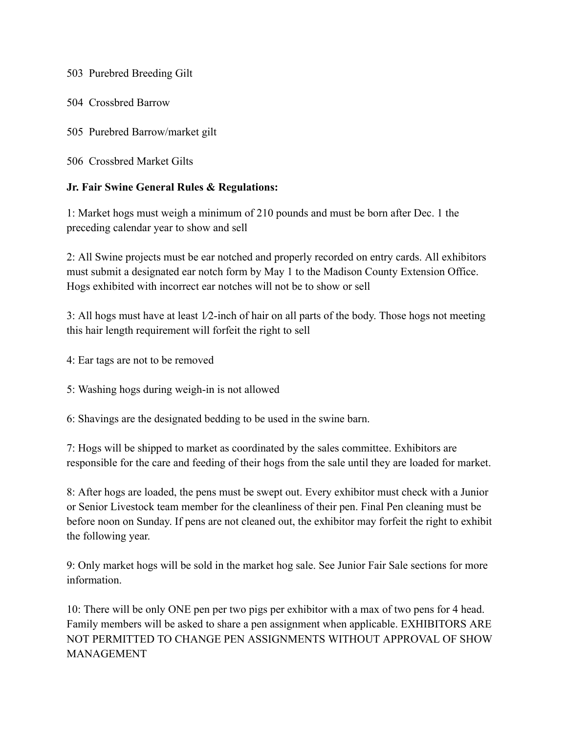503 Purebred Breeding Gilt

504 Crossbred Barrow

505 Purebred Barrow/market gilt

506 Crossbred Market Gilts

## **Jr. Fair Swine General Rules & Regulations:**

1: Market hogs must weigh a minimum of 210 pounds and must be born after Dec. 1 the preceding calendar year to show and sell

2: All Swine projects must be ear notched and properly recorded on entry cards. All exhibitors must submit a designated ear notch form by May 1 to the Madison County Extension Office. Hogs exhibited with incorrect ear notches will not be to show or sell

3: All hogs must have at least 1⁄2-inch of hair on all parts of the body. Those hogs not meeting this hair length requirement will forfeit the right to sell

- 4: Ear tags are not to be removed
- 5: Washing hogs during weigh-in is not allowed
- 6: Shavings are the designated bedding to be used in the swine barn.

7: Hogs will be shipped to market as coordinated by the sales committee. Exhibitors are responsible for the care and feeding of their hogs from the sale until they are loaded for market.

8: After hogs are loaded, the pens must be swept out. Every exhibitor must check with a Junior or Senior Livestock team member for the cleanliness of their pen. Final Pen cleaning must be before noon on Sunday. If pens are not cleaned out, the exhibitor may forfeit the right to exhibit the following year.

9: Only market hogs will be sold in the market hog sale. See Junior Fair Sale sections for more information.

10: There will be only ONE pen per two pigs per exhibitor with a max of two pens for 4 head. Family members will be asked to share a pen assignment when applicable. EXHIBITORS ARE NOT PERMITTED TO CHANGE PEN ASSIGNMENTS WITHOUT APPROVAL OF SHOW MANAGEMENT